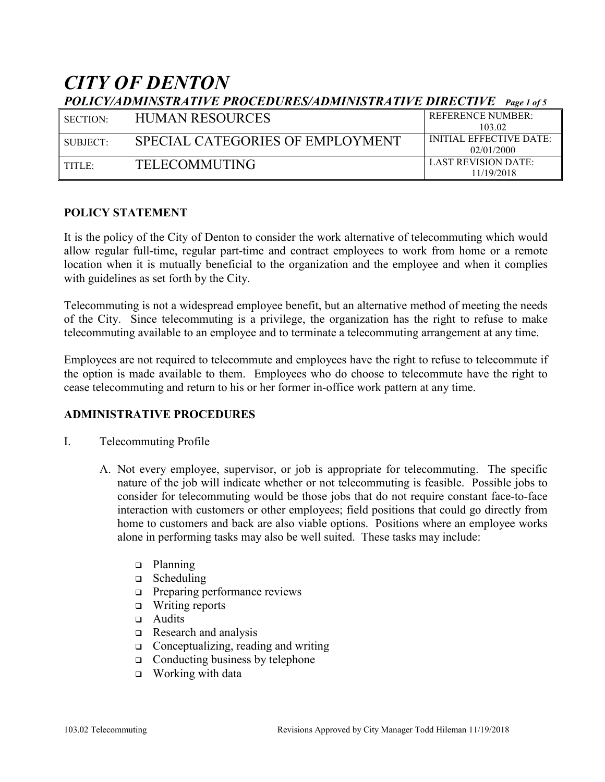# *CITY OF DENTON POLICY/ADMINSTRATIVE PROCEDURES/ADMINISTRATIVE DIRECTIVE Page 1 of 5*

| $1.921(1)111(1)111(1)111(1)111(1)1111(1)1111(1)1111(1)1111(1)1111(1)1111(1)1111(1)1111(1)1111(1)1111(1)1111(1)1111(1)1111(1)1111(1)1111(1)1111(1)1111(1)1111(1)1111(1)1111(1)1111(1)1111(1)1111(1)1111(1)1111(1)1111(1)1111(1$ |                                  |                                |  |
|--------------------------------------------------------------------------------------------------------------------------------------------------------------------------------------------------------------------------------|----------------------------------|--------------------------------|--|
| l section:                                                                                                                                                                                                                     | <b>HUMAN RESOURCES</b>           | <b>REFERENCE NUMBER:</b>       |  |
|                                                                                                                                                                                                                                |                                  | 103.02                         |  |
| $\blacksquare$ SUBJECT:                                                                                                                                                                                                        | SPECIAL CATEGORIES OF EMPLOYMENT | <b>INITIAL EFFECTIVE DATE:</b> |  |
|                                                                                                                                                                                                                                |                                  | 02/01/2000                     |  |
| l title:                                                                                                                                                                                                                       | <b>TELECOMMUTING</b>             | <b>LAST REVISION DATE:</b>     |  |
|                                                                                                                                                                                                                                |                                  | 11/19/2018                     |  |

#### **POLICY STATEMENT**

It is the policy of the City of Denton to consider the work alternative of telecommuting which would allow regular full-time, regular part-time and contract employees to work from home or a remote location when it is mutually beneficial to the organization and the employee and when it complies with guidelines as set forth by the City.

Telecommuting is not a widespread employee benefit, but an alternative method of meeting the needs of the City. Since telecommuting is a privilege, the organization has the right to refuse to make telecommuting available to an employee and to terminate a telecommuting arrangement at any time.

Employees are not required to telecommute and employees have the right to refuse to telecommute if the option is made available to them. Employees who do choose to telecommute have the right to cease telecommuting and return to his or her former in-office work pattern at any time.

#### **ADMINISTRATIVE PROCEDURES**

- I. Telecommuting Profile
	- A. Not every employee, supervisor, or job is appropriate for telecommuting. The specific nature of the job will indicate whether or not telecommuting is feasible. Possible jobs to consider for telecommuting would be those jobs that do not require constant face-to-face interaction with customers or other employees; field positions that could go directly from home to customers and back are also viable options. Positions where an employee works alone in performing tasks may also be well suited. These tasks may include:
		- planning
		- $\Box$  Scheduling
		- □ Preparing performance reviews
		- $\Box$  Writing reports
		- a Audits
		- Research and analysis
		- $\Box$  Conceptualizing, reading and writing
		- $\Box$  Conducting business by telephone
		- □ Working with data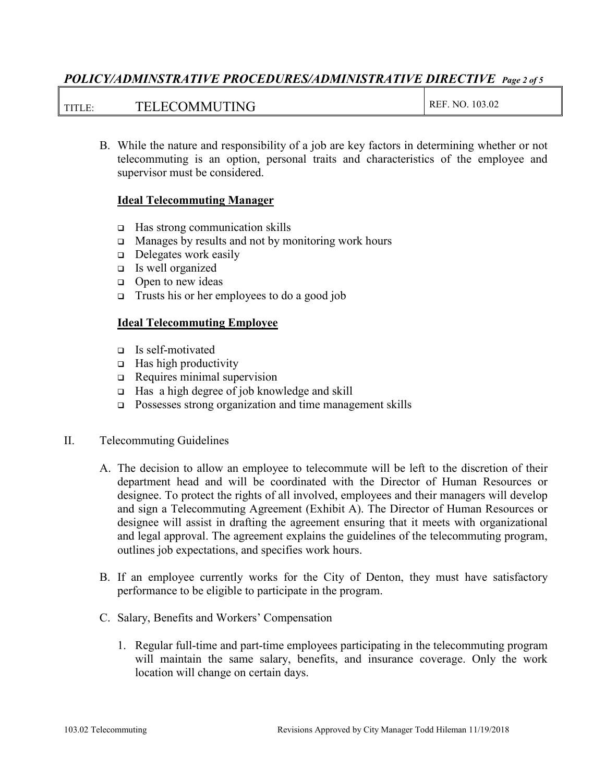## *POLICY/ADMINSTRATIVE PROCEDURES/ADMINISTRATIVE DIRECTIVE Page 2 of 5*

#### TITLE: TELECOMMUTING REF. NO. 103.02

B. While the nature and responsibility of a job are key factors in determining whether or not telecommuting is an option, personal traits and characteristics of the employee and supervisor must be considered.

#### **Ideal Telecommuting Manager**

- □ Has strong communication skills
- $\Box$  Manages by results and not by monitoring work hours
- $\Box$  Delegates work easily
- Is well organized
- $\Box$  Open to new ideas
- $\Box$  Trusts his or her employees to do a good job

#### **Ideal Telecommuting Employee**

- Is self-motivated
- $\Box$  Has high productivity
- Requires minimal supervision
- □ Has a high degree of job knowledge and skill
- □ Possesses strong organization and time management skills
- II. Telecommuting Guidelines
	- A. The decision to allow an employee to telecommute will be left to the discretion of their department head and will be coordinated with the Director of Human Resources or designee. To protect the rights of all involved, employees and their managers will develop and sign a Telecommuting Agreement (Exhibit A). The Director of Human Resources or designee will assist in drafting the agreement ensuring that it meets with organizational and legal approval. The agreement explains the guidelines of the telecommuting program, outlines job expectations, and specifies work hours.
	- B. If an employee currently works for the City of Denton, they must have satisfactory performance to be eligible to participate in the program.
	- C. Salary, Benefits and Workers' Compensation
		- 1. Regular full-time and part-time employees participating in the telecommuting program will maintain the same salary, benefits, and insurance coverage. Only the work location will change on certain days.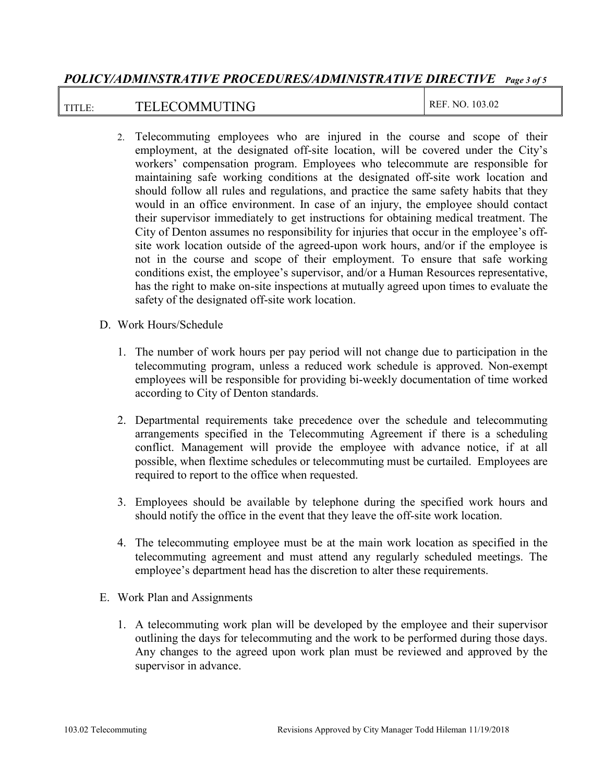## *POLICY/ADMINSTRATIVE PROCEDURES/ADMINISTRATIVE DIRECTIVE Page 3 of 5*

## TITLE: TELECOMMUTING REF. NO. 103.02

- 2. Telecommuting employees who are injured in the course and scope of their employment, at the designated off-site location, will be covered under the City's workers' compensation program. Employees who telecommute are responsible for maintaining safe working conditions at the designated off-site work location and should follow all rules and regulations, and practice the same safety habits that they would in an office environment. In case of an injury, the employee should contact their supervisor immediately to get instructions for obtaining medical treatment. The City of Denton assumes no responsibility for injuries that occur in the employee's offsite work location outside of the agreed-upon work hours, and/or if the employee is not in the course and scope of their employment. To ensure that safe working conditions exist, the employee's supervisor, and/or a Human Resources representative, has the right to make on-site inspections at mutually agreed upon times to evaluate the safety of the designated off-site work location.
- D. Work Hours/Schedule
	- 1. The number of work hours per pay period will not change due to participation in the telecommuting program, unless a reduced work schedule is approved. Non-exempt employees will be responsible for providing bi-weekly documentation of time worked according to City of Denton standards.
	- 2. Departmental requirements take precedence over the schedule and telecommuting arrangements specified in the Telecommuting Agreement if there is a scheduling conflict. Management will provide the employee with advance notice, if at all possible, when flextime schedules or telecommuting must be curtailed. Employees are required to report to the office when requested.
	- 3. Employees should be available by telephone during the specified work hours and should notify the office in the event that they leave the off-site work location.
	- 4. The telecommuting employee must be at the main work location as specified in the telecommuting agreement and must attend any regularly scheduled meetings. The employee's department head has the discretion to alter these requirements.
- E. Work Plan and Assignments
	- 1. A telecommuting work plan will be developed by the employee and their supervisor outlining the days for telecommuting and the work to be performed during those days. Any changes to the agreed upon work plan must be reviewed and approved by the supervisor in advance.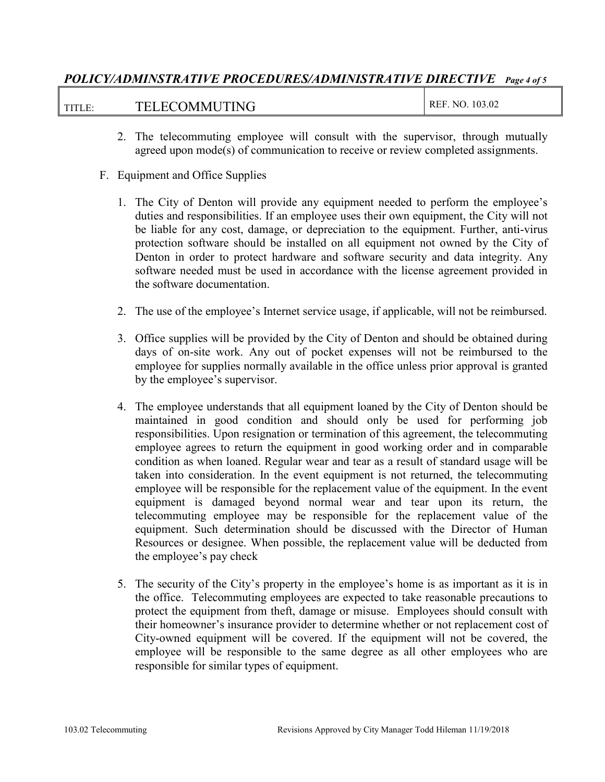## *POLICY/ADMINSTRATIVE PROCEDURES/ADMINISTRATIVE DIRECTIVE Page 4 of 5*

| TITLE: | <b>TELECOMMUTING</b> | 103.02<br>NO.<br>REF. |
|--------|----------------------|-----------------------|
|--------|----------------------|-----------------------|

- 2. The telecommuting employee will consult with the supervisor, through mutually agreed upon mode(s) of communication to receive or review completed assignments.
- F. Equipment and Office Supplies
	- 1. The City of Denton will provide any equipment needed to perform the employee's duties and responsibilities. If an employee uses their own equipment, the City will not be liable for any cost, damage, or depreciation to the equipment. Further, anti-virus protection software should be installed on all equipment not owned by the City of Denton in order to protect hardware and software security and data integrity. Any software needed must be used in accordance with the license agreement provided in the software documentation.
	- 2. The use of the employee's Internet service usage, if applicable, will not be reimbursed.
	- 3. Office supplies will be provided by the City of Denton and should be obtained during days of on-site work. Any out of pocket expenses will not be reimbursed to the employee for supplies normally available in the office unless prior approval is granted by the employee's supervisor.
	- 4. The employee understands that all equipment loaned by the City of Denton should be maintained in good condition and should only be used for performing job responsibilities. Upon resignation or termination of this agreement, the telecommuting employee agrees to return the equipment in good working order and in comparable condition as when loaned. Regular wear and tear as a result of standard usage will be taken into consideration. In the event equipment is not returned, the telecommuting employee will be responsible for the replacement value of the equipment. In the event equipment is damaged beyond normal wear and tear upon its return, the telecommuting employee may be responsible for the replacement value of the equipment. Such determination should be discussed with the Director of Human Resources or designee. When possible, the replacement value will be deducted from the employee's pay check
	- 5. The security of the City's property in the employee's home is as important as it is in the office. Telecommuting employees are expected to take reasonable precautions to protect the equipment from theft, damage or misuse. Employees should consult with their homeowner's insurance provider to determine whether or not replacement cost of City-owned equipment will be covered. If the equipment will not be covered, the employee will be responsible to the same degree as all other employees who are responsible for similar types of equipment.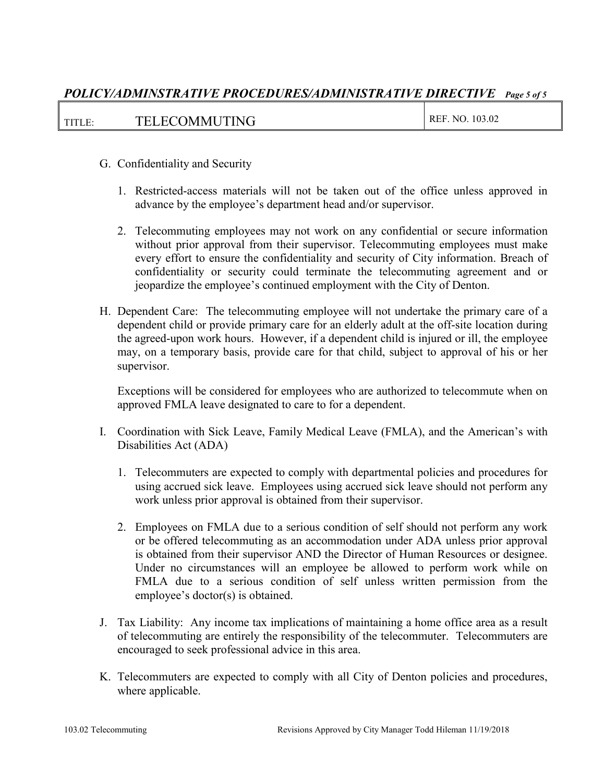## *POLICY/ADMINSTRATIVE PROCEDURES/ADMINISTRATIVE DIRECTIVE Page 5 of 5*

| REF. NO. 103.02<br><b>TELECOMMUTING</b><br>TITLE: |  |
|---------------------------------------------------|--|
|---------------------------------------------------|--|

- G. Confidentiality and Security
	- 1. Restricted-access materials will not be taken out of the office unless approved in advance by the employee's department head and/or supervisor.
	- 2. Telecommuting employees may not work on any confidential or secure information without prior approval from their supervisor. Telecommuting employees must make every effort to ensure the confidentiality and security of City information. Breach of confidentiality or security could terminate the telecommuting agreement and or jeopardize the employee's continued employment with the City of Denton.
- H. Dependent Care: The telecommuting employee will not undertake the primary care of a dependent child or provide primary care for an elderly adult at the off-site location during the agreed-upon work hours. However, if a dependent child is injured or ill, the employee may, on a temporary basis, provide care for that child, subject to approval of his or her supervisor.

Exceptions will be considered for employees who are authorized to telecommute when on approved FMLA leave designated to care to for a dependent.

- I. Coordination with Sick Leave, Family Medical Leave (FMLA), and the American's with Disabilities Act (ADA)
	- 1. Telecommuters are expected to comply with departmental policies and procedures for using accrued sick leave. Employees using accrued sick leave should not perform any work unless prior approval is obtained from their supervisor.
	- 2. Employees on FMLA due to a serious condition of self should not perform any work or be offered telecommuting as an accommodation under ADA unless prior approval is obtained from their supervisor AND the Director of Human Resources or designee. Under no circumstances will an employee be allowed to perform work while on FMLA due to a serious condition of self unless written permission from the employee's doctor(s) is obtained.
- J. Tax Liability: Any income tax implications of maintaining a home office area as a result of telecommuting are entirely the responsibility of the telecommuter. Telecommuters are encouraged to seek professional advice in this area.
- K. Telecommuters are expected to comply with all City of Denton policies and procedures, where applicable.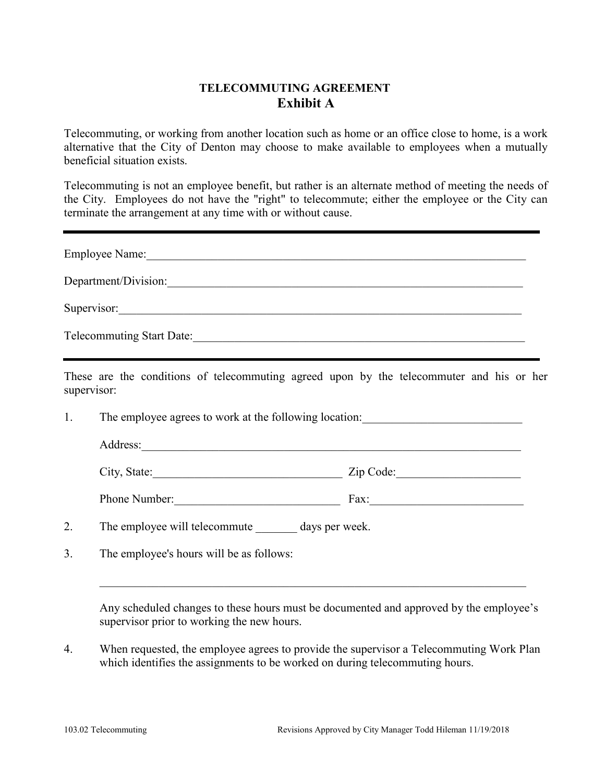## **TELECOMMUTING AGREEMENT Exhibit A**

Telecommuting, or working from another location such as home or an office close to home, is a work alternative that the City of Denton may choose to make available to employees when a mutually beneficial situation exists.

Telecommuting is not an employee benefit, but rather is an alternate method of meeting the needs of the City. Employees do not have the "right" to telecommute; either the employee or the City can terminate the arrangement at any time with or without cause.

| <b>Employee Name:</b>                                                                                   |  |
|---------------------------------------------------------------------------------------------------------|--|
| Department/Division:                                                                                    |  |
| Supervisor:                                                                                             |  |
| <b>Telecommuting Start Date:</b>                                                                        |  |
| These are the conditions of telecommuting agreed upon by the telecommuter and his or her<br>supervisor: |  |

1. The employee agrees to work at the following location: Address:\_\_\_\_\_\_\_\_\_\_\_\_\_\_\_\_\_\_\_\_\_\_\_\_\_\_\_\_\_\_\_\_\_\_\_\_\_\_\_\_\_\_\_\_\_\_\_\_\_\_\_\_\_\_\_\_\_\_\_\_\_\_\_\_ City, State:\_\_\_\_\_\_\_\_\_\_\_\_\_\_\_\_\_\_\_\_\_\_\_\_\_\_\_\_\_\_\_\_ Zip Code:\_\_\_\_\_\_\_\_\_\_\_\_\_\_\_\_\_\_\_\_\_ Phone Number:\_\_\_\_\_\_\_\_\_\_\_\_\_\_\_\_\_\_\_\_\_\_\_\_\_\_\_\_ Fax:\_\_\_\_\_\_\_\_\_\_\_\_\_\_\_\_\_\_\_\_\_\_\_\_\_\_

- 2. The employee will telecommute days per week.
- 3. The employee's hours will be as follows:

Any scheduled changes to these hours must be documented and approved by the employee's supervisor prior to working the new hours.

4. When requested, the employee agrees to provide the supervisor a Telecommuting Work Plan which identifies the assignments to be worked on during telecommuting hours.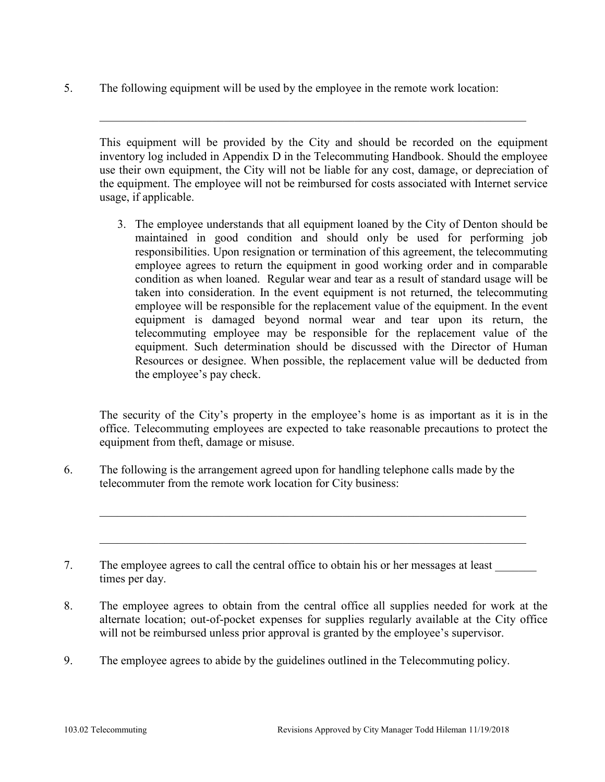5. The following equipment will be used by the employee in the remote work location:

This equipment will be provided by the City and should be recorded on the equipment inventory log included in Appendix D in the Telecommuting Handbook. Should the employee use their own equipment, the City will not be liable for any cost, damage, or depreciation of the equipment. The employee will not be reimbursed for costs associated with Internet service usage, if applicable.

 $\_$  , and the set of the set of the set of the set of the set of the set of the set of the set of the set of the set of the set of the set of the set of the set of the set of the set of the set of the set of the set of th

3. The employee understands that all equipment loaned by the City of Denton should be maintained in good condition and should only be used for performing job responsibilities. Upon resignation or termination of this agreement, the telecommuting employee agrees to return the equipment in good working order and in comparable condition as when loaned. Regular wear and tear as a result of standard usage will be taken into consideration. In the event equipment is not returned, the telecommuting employee will be responsible for the replacement value of the equipment. In the event equipment is damaged beyond normal wear and tear upon its return, the telecommuting employee may be responsible for the replacement value of the equipment. Such determination should be discussed with the Director of Human Resources or designee. When possible, the replacement value will be deducted from the employee's pay check.

The security of the City's property in the employee's home is as important as it is in the office. Telecommuting employees are expected to take reasonable precautions to protect the equipment from theft, damage or misuse.

6. The following is the arrangement agreed upon for handling telephone calls made by the telecommuter from the remote work location for City business:

7. The employee agrees to call the central office to obtain his or her messages at least times per day.

8. The employee agrees to obtain from the central office all supplies needed for work at the alternate location; out-of-pocket expenses for supplies regularly available at the City office will not be reimbursed unless prior approval is granted by the employee's supervisor.

 $\_$  , and the set of the set of the set of the set of the set of the set of the set of the set of the set of the set of the set of the set of the set of the set of the set of the set of the set of the set of the set of th

9. The employee agrees to abide by the guidelines outlined in the Telecommuting policy.